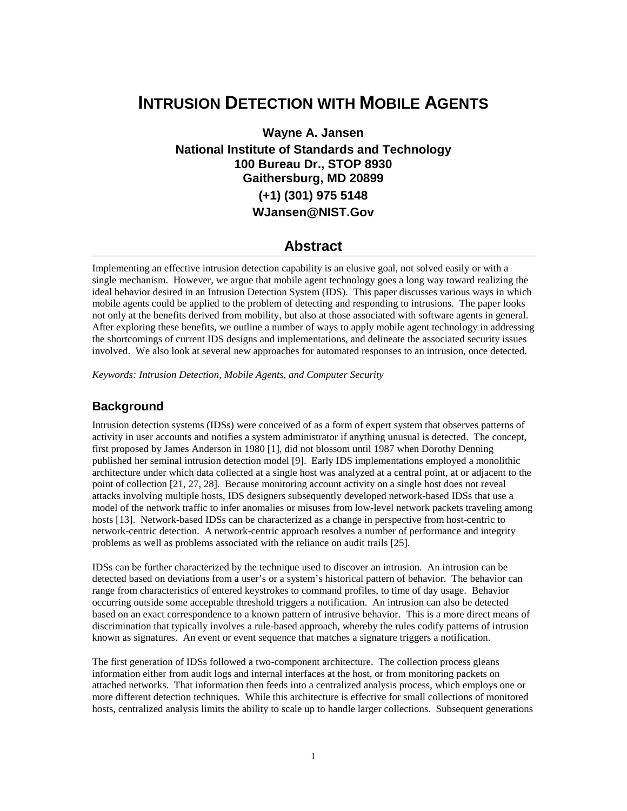# **INTRUSION DETECTION WITH MOBILE AGENTS**

#### **Wayne A. Jansen**

**National Institute of Standards and Technology 100 Bureau Dr., STOP 8930 Gaithersburg, MD 20899 (+1) (301) 975 5148** 

**WJansen@NIST.Gov** 

# **Abstract**

Implementing an effective intrusion detection capability is an elusive goal, not solved easily or with a single mechanism. However, we argue that mobile agent technology goes a long way toward realizing the ideal behavior desired in an Intrusion Detection System (IDS). This paper discusses various ways in which mobile agents could be applied to the problem of detecting and responding to intrusions. The paper looks not only at the benefits derived from mobility, but also at those associated with software agents in general. After exploring these benefits, we outline a number of ways to apply mobile agent technology in addressing the shortcomings of current IDS designs and implementations, and delineate the associated security issues involved. We also look at several new approaches for automated responses to an intrusion, once detected.

*Keywords: Intrusion Detection, Mobile Agents, and Computer Security* 

### **Background**

Intrusion detection systems (IDSs) were conceived of as a form of expert system that observes patterns of activity in user accounts and notifies a system administrator if anything unusual is detected. The concept, first proposed by James Anderson in 1980 [1], did not blossom until 1987 when Dorothy Denning published her seminal intrusion detection model [9]. Early IDS implementations employed a monolithic architecture under which data collected at a single host was analyzed at a central point, at or adjacent to the point of collection [21, 27, 28]. Because monitoring account activity on a single host does not reveal attacks involving multiple hosts, IDS designers subsequently developed network-based IDSs that use a model of the network traffic to infer anomalies or misuses from low-level network packets traveling among hosts [13]. Network-based IDSs can be characterized as a change in perspective from host-centric to network-centric detection. A network-centric approach resolves a number of performance and integrity problems as well as problems associated with the reliance on audit trails [25].

IDSs can be further characterized by the technique used to discover an intrusion. An intrusion can be detected based on deviations from a user's or a system's historical pattern of behavior. The behavior can range from characteristics of entered keystrokes to command profiles, to time of day usage. Behavior occurring outside some acceptable threshold triggers a notification. An intrusion can also be detected based on an exact correspondence to a known pattern of intrusive behavior. This is a more direct means of discrimination that typically involves a rule-based approach, whereby the rules codify patterns of intrusion known as signatures. An event or event sequence that matches a signature triggers a notification.

The first generation of IDSs followed a two-component architecture. The collection process gleans information either from audit logs and internal interfaces at the host, or from monitoring packets on attached networks. That information then feeds into a centralized analysis process, which employs one or more different detection techniques. While this architecture is effective for small collections of monitored hosts, centralized analysis limits the ability to scale up to handle larger collections. Subsequent generations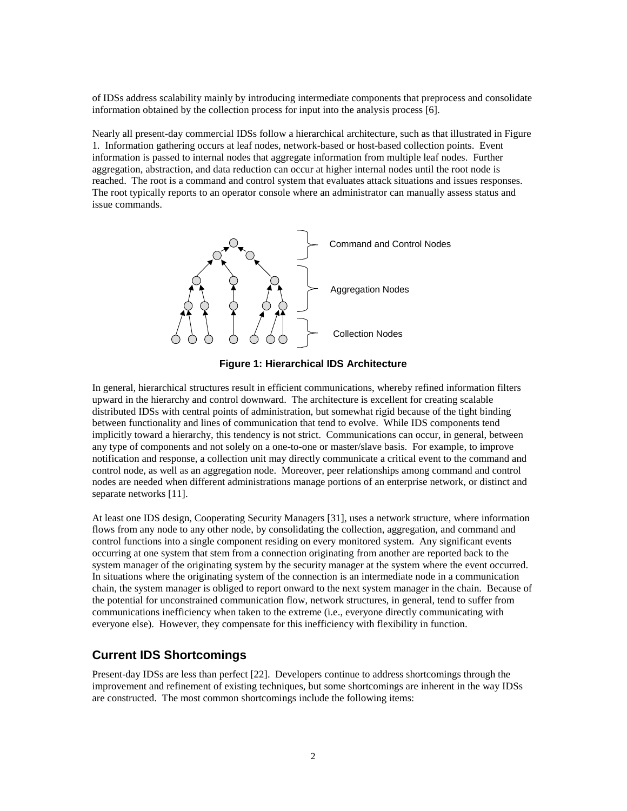of IDSs address scalability mainly by introducing intermediate components that preprocess and consolidate information obtained by the collection process for input into the analysis process [6].

Nearly all present-day commercial IDSs follow a hierarchical architecture, such as that illustrated in Figure 1. Information gathering occurs at leaf nodes, network-based or host-based collection points. Event information is passed to internal nodes that aggregate information from multiple leaf nodes. Further aggregation, abstraction, and data reduction can occur at higher internal nodes until the root node is reached. The root is a command and control system that evaluates attack situations and issues responses. The root typically reports to an operator console where an administrator can manually assess status and issue commands.



**Figure 1: Hierarchical IDS Architecture** 

In general, hierarchical structures result in efficient communications, whereby refined information filters upward in the hierarchy and control downward. The architecture is excellent for creating scalable distributed IDSs with central points of administration, but somewhat rigid because of the tight binding between functionality and lines of communication that tend to evolve. While IDS components tend implicitly toward a hierarchy, this tendency is not strict. Communications can occur, in general, between any type of components and not solely on a one-to-one or master/slave basis. For example, to improve notification and response, a collection unit may directly communicate a critical event to the command and control node, as well as an aggregation node. Moreover, peer relationships among command and control nodes are needed when different administrations manage portions of an enterprise network, or distinct and separate networks [11].

At least one IDS design, Cooperating Security Managers [31], uses a network structure, where information flows from any node to any other node, by consolidating the collection, aggregation, and command and control functions into a single component residing on every monitored system. Any significant events occurring at one system that stem from a connection originating from another are reported back to the system manager of the originating system by the security manager at the system where the event occurred. In situations where the originating system of the connection is an intermediate node in a communication chain, the system manager is obliged to report onward to the next system manager in the chain. Because of the potential for unconstrained communication flow, network structures, in general, tend to suffer from communications inefficiency when taken to the extreme (i.e., everyone directly communicating with everyone else). However, they compensate for this inefficiency with flexibility in function.

## **Current IDS Shortcomings**

Present-day IDSs are less than perfect [22]. Developers continue to address shortcomings through the improvement and refinement of existing techniques, but some shortcomings are inherent in the way IDSs are constructed. The most common shortcomings include the following items: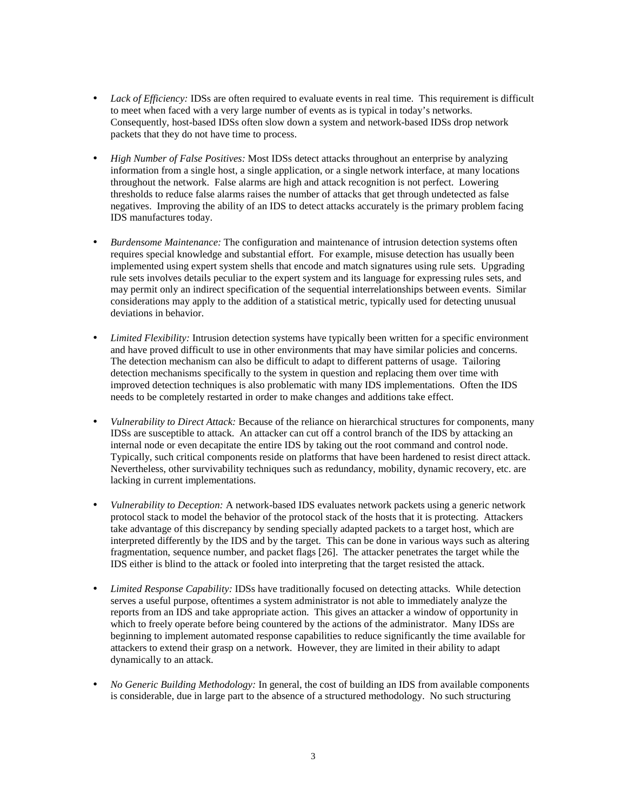- *Lack of Efficiency:* IDSs are often required to evaluate events in real time. This requirement is difficult to meet when faced with a very large number of events as is typical in today's networks. Consequently, host-based IDSs often slow down a system and network-based IDSs drop network packets that they do not have time to process.
- *High Number of False Positives:* Most IDSs detect attacks throughout an enterprise by analyzing information from a single host, a single application, or a single network interface, at many locations throughout the network. False alarms are high and attack recognition is not perfect. Lowering thresholds to reduce false alarms raises the number of attacks that get through undetected as false negatives. Improving the ability of an IDS to detect attacks accurately is the primary problem facing IDS manufactures today.
- *Burdensome Maintenance:* The configuration and maintenance of intrusion detection systems often requires special knowledge and substantial effort. For example, misuse detection has usually been implemented using expert system shells that encode and match signatures using rule sets. Upgrading rule sets involves details peculiar to the expert system and its language for expressing rules sets, and may permit only an indirect specification of the sequential interrelationships between events. Similar considerations may apply to the addition of a statistical metric, typically used for detecting unusual deviations in behavior.
- *Limited Flexibility:* Intrusion detection systems have typically been written for a specific environment and have proved difficult to use in other environments that may have similar policies and concerns. The detection mechanism can also be difficult to adapt to different patterns of usage. Tailoring detection mechanisms specifically to the system in question and replacing them over time with improved detection techniques is also problematic with many IDS implementations. Often the IDS needs to be completely restarted in order to make changes and additions take effect.
- *Vulnerability to Direct Attack:* Because of the reliance on hierarchical structures for components, many IDSs are susceptible to attack. An attacker can cut off a control branch of the IDS by attacking an internal node or even decapitate the entire IDS by taking out the root command and control node. Typically, such critical components reside on platforms that have been hardened to resist direct attack. Nevertheless, other survivability techniques such as redundancy, mobility, dynamic recovery, etc. are lacking in current implementations.
- *Vulnerability to Deception:* A network-based IDS evaluates network packets using a generic network protocol stack to model the behavior of the protocol stack of the hosts that it is protecting. Attackers take advantage of this discrepancy by sending specially adapted packets to a target host, which are interpreted differently by the IDS and by the target. This can be done in various ways such as altering fragmentation, sequence number, and packet flags [26]. The attacker penetrates the target while the IDS either is blind to the attack or fooled into interpreting that the target resisted the attack.
- *Limited Response Capability:* IDSs have traditionally focused on detecting attacks. While detection serves a useful purpose, oftentimes a system administrator is not able to immediately analyze the reports from an IDS and take appropriate action. This gives an attacker a window of opportunity in which to freely operate before being countered by the actions of the administrator. Many IDSs are beginning to implement automated response capabilities to reduce significantly the time available for attackers to extend their grasp on a network. However, they are limited in their ability to adapt dynamically to an attack.
- *No Generic Building Methodology:* In general, the cost of building an IDS from available components is considerable, due in large part to the absence of a structured methodology. No such structuring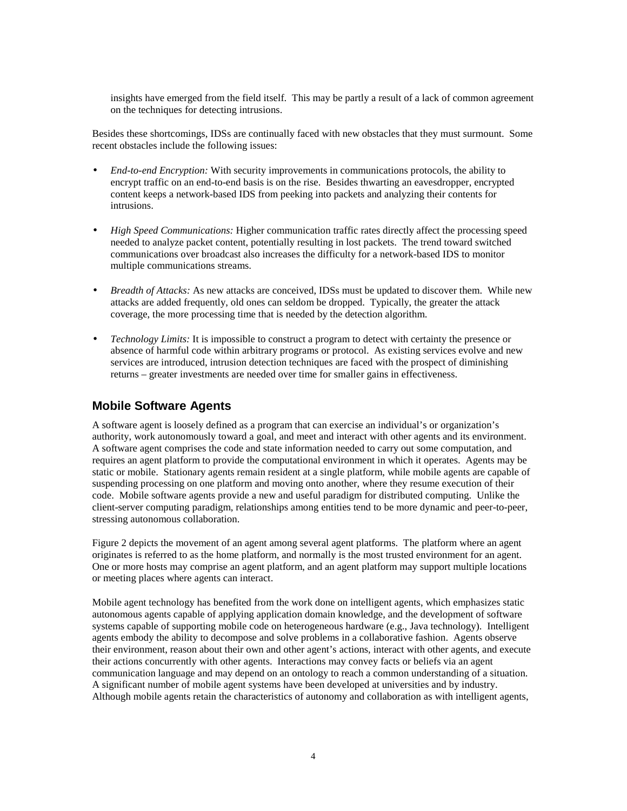insights have emerged from the field itself. This may be partly a result of a lack of common agreement on the techniques for detecting intrusions.

Besides these shortcomings, IDSs are continually faced with new obstacles that they must surmount. Some recent obstacles include the following issues:

- *End-to-end Encryption:* With security improvements in communications protocols, the ability to encrypt traffic on an end-to-end basis is on the rise. Besides thwarting an eavesdropper, encrypted content keeps a network-based IDS from peeking into packets and analyzing their contents for intrusions.
- *High Speed Communications:* Higher communication traffic rates directly affect the processing speed needed to analyze packet content, potentially resulting in lost packets. The trend toward switched communications over broadcast also increases the difficulty for a network-based IDS to monitor multiple communications streams.
- *Breadth of Attacks:* As new attacks are conceived, IDSs must be updated to discover them. While new attacks are added frequently, old ones can seldom be dropped. Typically, the greater the attack coverage, the more processing time that is needed by the detection algorithm.
- *Technology Limits:* It is impossible to construct a program to detect with certainty the presence or absence of harmful code within arbitrary programs or protocol. As existing services evolve and new services are introduced, intrusion detection techniques are faced with the prospect of diminishing returns – greater investments are needed over time for smaller gains in effectiveness.

## **Mobile Software Agents**

A software agent is loosely defined as a program that can exercise an individual's or organization's authority, work autonomously toward a goal, and meet and interact with other agents and its environment. A software agent comprises the code and state information needed to carry out some computation, and requires an agent platform to provide the computational environment in which it operates. Agents may be static or mobile. Stationary agents remain resident at a single platform, while mobile agents are capable of suspending processing on one platform and moving onto another, where they resume execution of their code. Mobile software agents provide a new and useful paradigm for distributed computing. Unlike the client-server computing paradigm, relationships among entities tend to be more dynamic and peer-to-peer, stressing autonomous collaboration.

Figure 2 depicts the movement of an agent among several agent platforms. The platform where an agent originates is referred to as the home platform, and normally is the most trusted environment for an agent. One or more hosts may comprise an agent platform, and an agent platform may support multiple locations or meeting places where agents can interact.

Mobile agent technology has benefited from the work done on intelligent agents, which emphasizes static autonomous agents capable of applying application domain knowledge, and the development of software systems capable of supporting mobile code on heterogeneous hardware (e.g., Java technology). Intelligent agents embody the ability to decompose and solve problems in a collaborative fashion. Agents observe their environment, reason about their own and other agent's actions, interact with other agents, and execute their actions concurrently with other agents. Interactions may convey facts or beliefs via an agent communication language and may depend on an ontology to reach a common understanding of a situation. A significant number of mobile agent systems have been developed at universities and by industry. Although mobile agents retain the characteristics of autonomy and collaboration as with intelligent agents,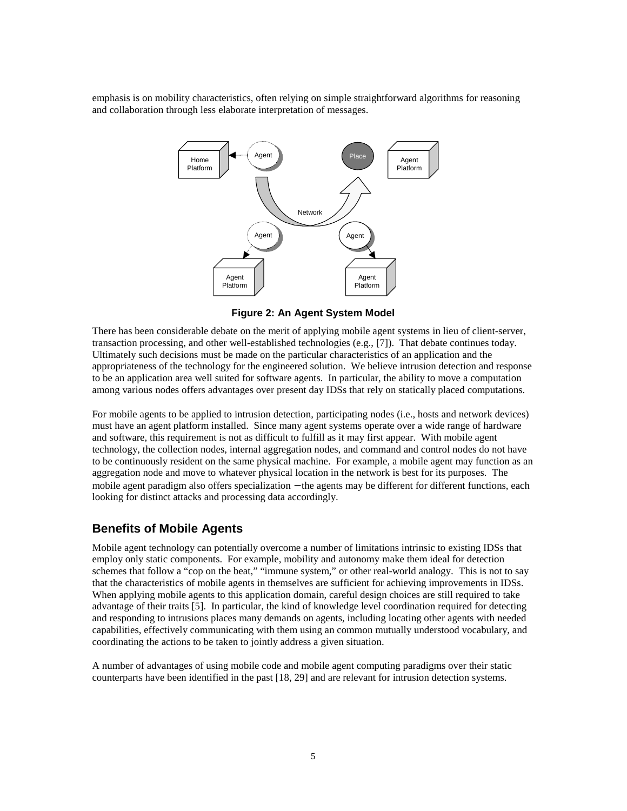emphasis is on mobility characteristics, often relying on simple straightforward algorithms for reasoning and collaboration through less elaborate interpretation of messages.



**Figure 2: An Agent System Model** 

There has been considerable debate on the merit of applying mobile agent systems in lieu of client-server, transaction processing, and other well-established technologies (e.g., [7]). That debate continues today. Ultimately such decisions must be made on the particular characteristics of an application and the appropriateness of the technology for the engineered solution. We believe intrusion detection and response to be an application area well suited for software agents. In particular, the ability to move a computation among various nodes offers advantages over present day IDSs that rely on statically placed computations.

For mobile agents to be applied to intrusion detection, participating nodes (i.e., hosts and network devices) must have an agent platform installed. Since many agent systems operate over a wide range of hardware and software, this requirement is not as difficult to fulfill as it may first appear. With mobile agent technology, the collection nodes, internal aggregation nodes, and command and control nodes do not have to be continuously resident on the same physical machine. For example, a mobile agent may function as an aggregation node and move to whatever physical location in the network is best for its purposes. The mobile agent paradigm also offers specialization – the agents may be different for different functions, each looking for distinct attacks and processing data accordingly.

### **Benefits of Mobile Agents**

Mobile agent technology can potentially overcome a number of limitations intrinsic to existing IDSs that employ only static components. For example, mobility and autonomy make them ideal for detection schemes that follow a "cop on the beat," "immune system," or other real-world analogy. This is not to say that the characteristics of mobile agents in themselves are sufficient for achieving improvements in IDSs. When applying mobile agents to this application domain, careful design choices are still required to take advantage of their traits [5]. In particular, the kind of knowledge level coordination required for detecting and responding to intrusions places many demands on agents, including locating other agents with needed capabilities, effectively communicating with them using an common mutually understood vocabulary, and coordinating the actions to be taken to jointly address a given situation.

A number of advantages of using mobile code and mobile agent computing paradigms over their static counterparts have been identified in the past [18, 29] and are relevant for intrusion detection systems.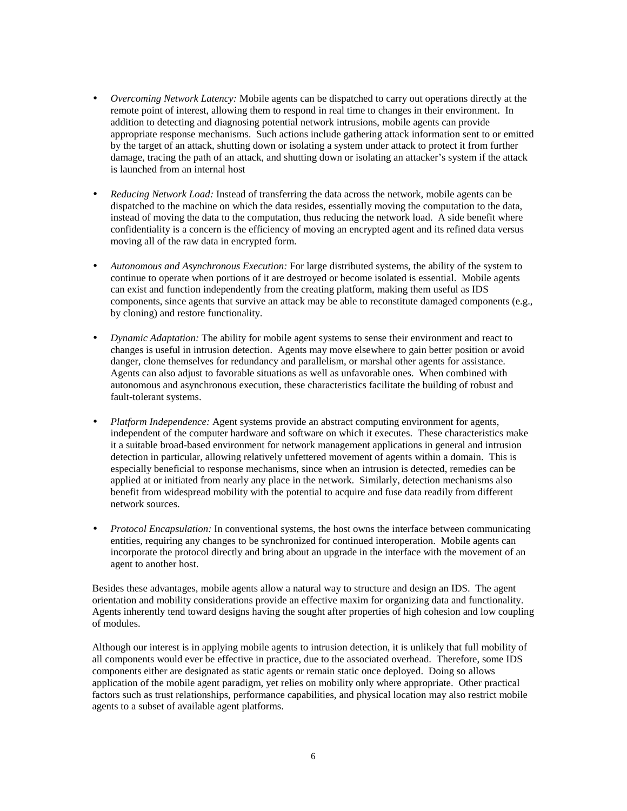- *Overcoming Network Latency:* Mobile agents can be dispatched to carry out operations directly at the remote point of interest, allowing them to respond in real time to changes in their environment. In addition to detecting and diagnosing potential network intrusions, mobile agents can provide appropriate response mechanisms. Such actions include gathering attack information sent to or emitted by the target of an attack, shutting down or isolating a system under attack to protect it from further damage, tracing the path of an attack, and shutting down or isolating an attacker's system if the attack is launched from an internal host
- *Reducing Network Load:* Instead of transferring the data across the network, mobile agents can be dispatched to the machine on which the data resides, essentially moving the computation to the data, instead of moving the data to the computation, thus reducing the network load. A side benefit where confidentiality is a concern is the efficiency of moving an encrypted agent and its refined data versus moving all of the raw data in encrypted form.
- *Autonomous and Asynchronous Execution:* For large distributed systems, the ability of the system to continue to operate when portions of it are destroyed or become isolated is essential. Mobile agents can exist and function independently from the creating platform, making them useful as IDS components, since agents that survive an attack may be able to reconstitute damaged components (e.g., by cloning) and restore functionality.
- *Dynamic Adaptation:* The ability for mobile agent systems to sense their environment and react to changes is useful in intrusion detection. Agents may move elsewhere to gain better position or avoid danger, clone themselves for redundancy and parallelism, or marshal other agents for assistance. Agents can also adjust to favorable situations as well as unfavorable ones. When combined with autonomous and asynchronous execution, these characteristics facilitate the building of robust and fault-tolerant systems.
- *Platform Independence:* Agent systems provide an abstract computing environment for agents, independent of the computer hardware and software on which it executes. These characteristics make it a suitable broad-based environment for network management applications in general and intrusion detection in particular, allowing relatively unfettered movement of agents within a domain. This is especially beneficial to response mechanisms, since when an intrusion is detected, remedies can be applied at or initiated from nearly any place in the network. Similarly, detection mechanisms also benefit from widespread mobility with the potential to acquire and fuse data readily from different network sources.
- *Protocol Encapsulation:* In conventional systems, the host owns the interface between communicating entities, requiring any changes to be synchronized for continued interoperation. Mobile agents can incorporate the protocol directly and bring about an upgrade in the interface with the movement of an agent to another host.

Besides these advantages, mobile agents allow a natural way to structure and design an IDS. The agent orientation and mobility considerations provide an effective maxim for organizing data and functionality. Agents inherently tend toward designs having the sought after properties of high cohesion and low coupling of modules.

Although our interest is in applying mobile agents to intrusion detection, it is unlikely that full mobility of all components would ever be effective in practice, due to the associated overhead. Therefore, some IDS components either are designated as static agents or remain static once deployed. Doing so allows application of the mobile agent paradigm, yet relies on mobility only where appropriate. Other practical factors such as trust relationships, performance capabilities, and physical location may also restrict mobile agents to a subset of available agent platforms.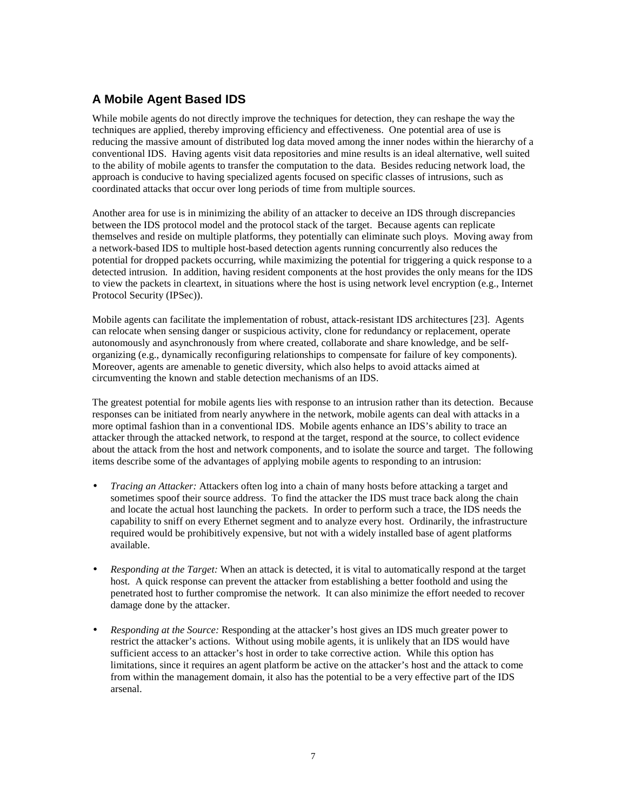# **A Mobile Agent Based IDS**

While mobile agents do not directly improve the techniques for detection, they can reshape the way the techniques are applied, thereby improving efficiency and effectiveness. One potential area of use is reducing the massive amount of distributed log data moved among the inner nodes within the hierarchy of a conventional IDS. Having agents visit data repositories and mine results is an ideal alternative, well suited to the ability of mobile agents to transfer the computation to the data. Besides reducing network load, the approach is conducive to having specialized agents focused on specific classes of intrusions, such as coordinated attacks that occur over long periods of time from multiple sources.

Another area for use is in minimizing the ability of an attacker to deceive an IDS through discrepancies between the IDS protocol model and the protocol stack of the target. Because agents can replicate themselves and reside on multiple platforms, they potentially can eliminate such ploys. Moving away from a network-based IDS to multiple host-based detection agents running concurrently also reduces the potential for dropped packets occurring, while maximizing the potential for triggering a quick response to a detected intrusion. In addition, having resident components at the host provides the only means for the IDS to view the packets in cleartext, in situations where the host is using network level encryption (e.g., Internet Protocol Security (IPSec)).

Mobile agents can facilitate the implementation of robust, attack-resistant IDS architectures [23]. Agents can relocate when sensing danger or suspicious activity, clone for redundancy or replacement, operate autonomously and asynchronously from where created, collaborate and share knowledge, and be selforganizing (e.g., dynamically reconfiguring relationships to compensate for failure of key components). Moreover, agents are amenable to genetic diversity, which also helps to avoid attacks aimed at circumventing the known and stable detection mechanisms of an IDS.

The greatest potential for mobile agents lies with response to an intrusion rather than its detection. Because responses can be initiated from nearly anywhere in the network, mobile agents can deal with attacks in a more optimal fashion than in a conventional IDS. Mobile agents enhance an IDS's ability to trace an attacker through the attacked network, to respond at the target, respond at the source, to collect evidence about the attack from the host and network components, and to isolate the source and target. The following items describe some of the advantages of applying mobile agents to responding to an intrusion:

- *Tracing an Attacker:* Attackers often log into a chain of many hosts before attacking a target and sometimes spoof their source address. To find the attacker the IDS must trace back along the chain and locate the actual host launching the packets. In order to perform such a trace, the IDS needs the capability to sniff on every Ethernet segment and to analyze every host. Ordinarily, the infrastructure required would be prohibitively expensive, but not with a widely installed base of agent platforms available.
- *Responding at the Target:* When an attack is detected, it is vital to automatically respond at the target host. A quick response can prevent the attacker from establishing a better foothold and using the penetrated host to further compromise the network. It can also minimize the effort needed to recover damage done by the attacker.
- *Responding at the Source:* Responding at the attacker's host gives an IDS much greater power to restrict the attacker's actions. Without using mobile agents, it is unlikely that an IDS would have sufficient access to an attacker's host in order to take corrective action. While this option has limitations, since it requires an agent platform be active on the attacker's host and the attack to come from within the management domain, it also has the potential to be a very effective part of the IDS arsenal.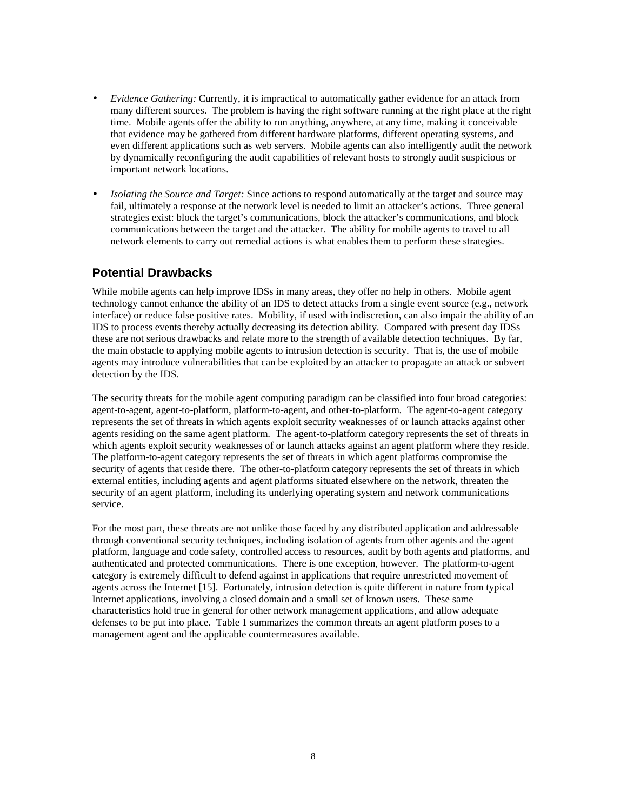- *Evidence Gathering:* Currently, it is impractical to automatically gather evidence for an attack from many different sources. The problem is having the right software running at the right place at the right time. Mobile agents offer the ability to run anything, anywhere, at any time, making it conceivable that evidence may be gathered from different hardware platforms, different operating systems, and even different applications such as web servers. Mobile agents can also intelligently audit the network by dynamically reconfiguring the audit capabilities of relevant hosts to strongly audit suspicious or important network locations.
- *Isolating the Source and Target:* Since actions to respond automatically at the target and source may fail, ultimately a response at the network level is needed to limit an attacker's actions. Three general strategies exist: block the target's communications, block the attacker's communications, and block communications between the target and the attacker. The ability for mobile agents to travel to all network elements to carry out remedial actions is what enables them to perform these strategies.

### **Potential Drawbacks**

While mobile agents can help improve IDSs in many areas, they offer no help in others. Mobile agent technology cannot enhance the ability of an IDS to detect attacks from a single event source (e.g., network interface) or reduce false positive rates. Mobility, if used with indiscretion, can also impair the ability of an IDS to process events thereby actually decreasing its detection ability. Compared with present day IDSs these are not serious drawbacks and relate more to the strength of available detection techniques. By far, the main obstacle to applying mobile agents to intrusion detection is security. That is, the use of mobile agents may introduce vulnerabilities that can be exploited by an attacker to propagate an attack or subvert detection by the IDS.

The security threats for the mobile agent computing paradigm can be classified into four broad categories: agent-to-agent, agent-to-platform, platform-to-agent, and other-to-platform. The agent-to-agent category represents the set of threats in which agents exploit security weaknesses of or launch attacks against other agents residing on the same agent platform. The agent-to-platform category represents the set of threats in which agents exploit security weaknesses of or launch attacks against an agent platform where they reside. The platform-to-agent category represents the set of threats in which agent platforms compromise the security of agents that reside there. The other-to-platform category represents the set of threats in which external entities, including agents and agent platforms situated elsewhere on the network, threaten the security of an agent platform, including its underlying operating system and network communications service.

For the most part, these threats are not unlike those faced by any distributed application and addressable through conventional security techniques, including isolation of agents from other agents and the agent platform, language and code safety, controlled access to resources, audit by both agents and platforms, and authenticated and protected communications. There is one exception, however. The platform-to-agent category is extremely difficult to defend against in applications that require unrestricted movement of agents across the Internet [15]. Fortunately, intrusion detection is quite different in nature from typical Internet applications, involving a closed domain and a small set of known users. These same characteristics hold true in general for other network management applications, and allow adequate defenses to be put into place. Table 1 summarizes the common threats an agent platform poses to a management agent and the applicable countermeasures available.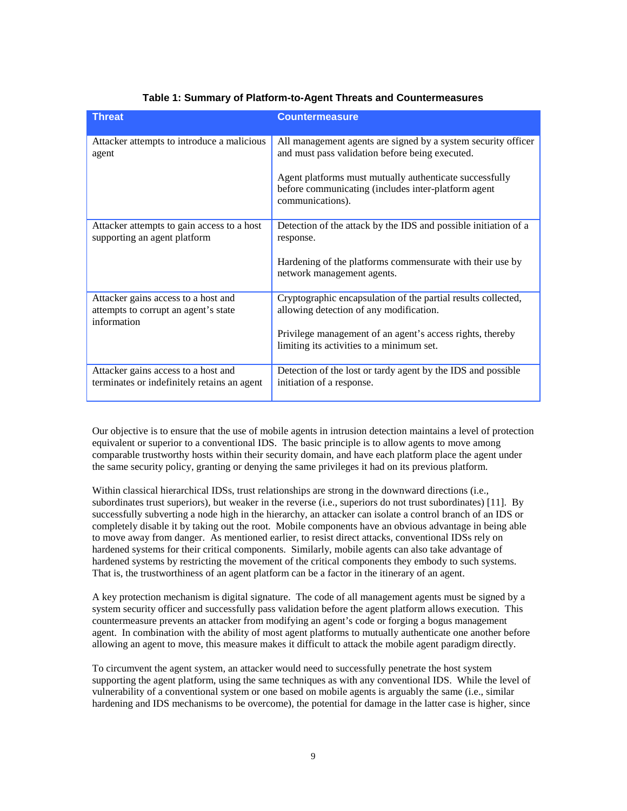| <b>Threat</b>                                                                              | <b>Countermeasure</b>                                                                                                              |
|--------------------------------------------------------------------------------------------|------------------------------------------------------------------------------------------------------------------------------------|
|                                                                                            |                                                                                                                                    |
| Attacker attempts to introduce a malicious<br>agent                                        | All management agents are signed by a system security officer<br>and must pass validation before being executed.                   |
|                                                                                            | Agent platforms must mutually authenticate successfully<br>before communicating (includes inter-platform agent<br>communications). |
| Attacker attempts to gain access to a host<br>supporting an agent platform                 | Detection of the attack by the IDS and possible initiation of a<br>response.                                                       |
|                                                                                            | Hardening of the platforms commensurate with their use by<br>network management agents.                                            |
| Attacker gains access to a host and<br>attempts to corrupt an agent's state<br>information | Cryptographic encapsulation of the partial results collected,<br>allowing detection of any modification.                           |
|                                                                                            | Privilege management of an agent's access rights, thereby<br>limiting its activities to a minimum set.                             |
| Attacker gains access to a host and<br>terminates or indefinitely retains an agent         | Detection of the lost or tardy agent by the IDS and possible<br>initiation of a response.                                          |

#### **Table 1: Summary of Platform-to-Agent Threats and Countermeasures**

Our objective is to ensure that the use of mobile agents in intrusion detection maintains a level of protection equivalent or superior to a conventional IDS. The basic principle is to allow agents to move among comparable trustworthy hosts within their security domain, and have each platform place the agent under the same security policy, granting or denying the same privileges it had on its previous platform.

Within classical hierarchical IDSs, trust relationships are strong in the downward directions (i.e., subordinates trust superiors), but weaker in the reverse (i.e., superiors do not trust subordinates) [11]. By successfully subverting a node high in the hierarchy, an attacker can isolate a control branch of an IDS or completely disable it by taking out the root. Mobile components have an obvious advantage in being able to move away from danger. As mentioned earlier, to resist direct attacks, conventional IDSs rely on hardened systems for their critical components. Similarly, mobile agents can also take advantage of hardened systems by restricting the movement of the critical components they embody to such systems. That is, the trustworthiness of an agent platform can be a factor in the itinerary of an agent.

A key protection mechanism is digital signature. The code of all management agents must be signed by a system security officer and successfully pass validation before the agent platform allows execution. This countermeasure prevents an attacker from modifying an agent's code or forging a bogus management agent. In combination with the ability of most agent platforms to mutually authenticate one another before allowing an agent to move, this measure makes it difficult to attack the mobile agent paradigm directly.

To circumvent the agent system, an attacker would need to successfully penetrate the host system supporting the agent platform, using the same techniques as with any conventional IDS. While the level of vulnerability of a conventional system or one based on mobile agents is arguably the same (i.e., similar hardening and IDS mechanisms to be overcome), the potential for damage in the latter case is higher, since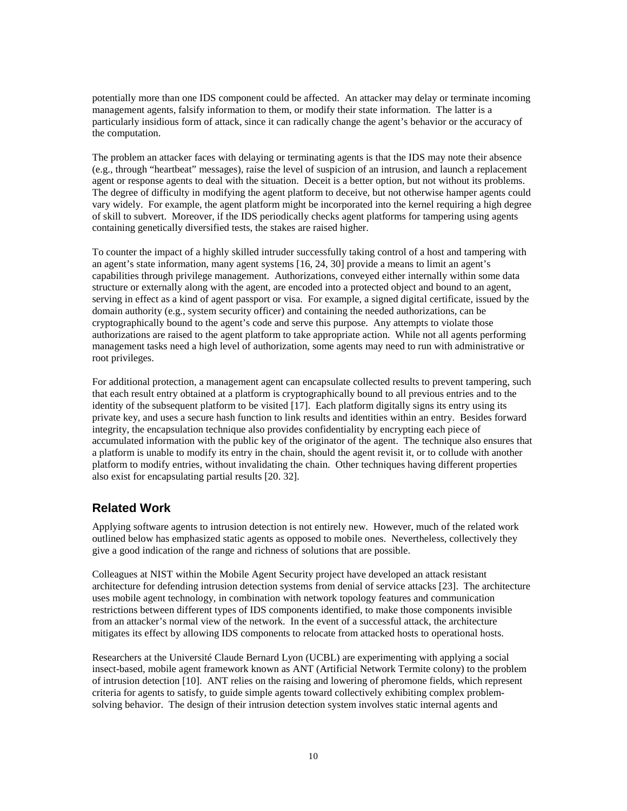potentially more than one IDS component could be affected. An attacker may delay or terminate incoming management agents, falsify information to them, or modify their state information. The latter is a particularly insidious form of attack, since it can radically change the agent's behavior or the accuracy of the computation.

The problem an attacker faces with delaying or terminating agents is that the IDS may note their absence (e.g., through "heartbeat" messages), raise the level of suspicion of an intrusion, and launch a replacement agent or response agents to deal with the situation. Deceit is a better option, but not without its problems. The degree of difficulty in modifying the agent platform to deceive, but not otherwise hamper agents could vary widely. For example, the agent platform might be incorporated into the kernel requiring a high degree of skill to subvert. Moreover, if the IDS periodically checks agent platforms for tampering using agents containing genetically diversified tests, the stakes are raised higher.

To counter the impact of a highly skilled intruder successfully taking control of a host and tampering with an agent's state information, many agent systems [16, 24, 30] provide a means to limit an agent's capabilities through privilege management. Authorizations, conveyed either internally within some data structure or externally along with the agent, are encoded into a protected object and bound to an agent, serving in effect as a kind of agent passport or visa. For example, a signed digital certificate, issued by the domain authority (e.g., system security officer) and containing the needed authorizations, can be cryptographically bound to the agent's code and serve this purpose. Any attempts to violate those authorizations are raised to the agent platform to take appropriate action. While not all agents performing management tasks need a high level of authorization, some agents may need to run with administrative or root privileges.

For additional protection, a management agent can encapsulate collected results to prevent tampering, such that each result entry obtained at a platform is cryptographically bound to all previous entries and to the identity of the subsequent platform to be visited [17]. Each platform digitally signs its entry using its private key, and uses a secure hash function to link results and identities within an entry. Besides forward integrity, the encapsulation technique also provides confidentiality by encrypting each piece of accumulated information with the public key of the originator of the agent. The technique also ensures that a platform is unable to modify its entry in the chain, should the agent revisit it, or to collude with another platform to modify entries, without invalidating the chain. Other techniques having different properties also exist for encapsulating partial results [20. 32].

### **Related Work**

Applying software agents to intrusion detection is not entirely new. However, much of the related work outlined below has emphasized static agents as opposed to mobile ones. Nevertheless, collectively they give a good indication of the range and richness of solutions that are possible.

Colleagues at NIST within the Mobile Agent Security project have developed an attack resistant architecture for defending intrusion detection systems from denial of service attacks [23]. The architecture uses mobile agent technology, in combination with network topology features and communication restrictions between different types of IDS components identified, to make those components invisible from an attacker's normal view of the network. In the event of a successful attack, the architecture mitigates its effect by allowing IDS components to relocate from attacked hosts to operational hosts.

Researchers at the Université Claude Bernard Lyon (UCBL) are experimenting with applying a social insect-based, mobile agent framework known as ANT (Artificial Network Termite colony) to the problem of intrusion detection [10]. ANT relies on the raising and lowering of pheromone fields, which represent criteria for agents to satisfy, to guide simple agents toward collectively exhibiting complex problemsolving behavior. The design of their intrusion detection system involves static internal agents and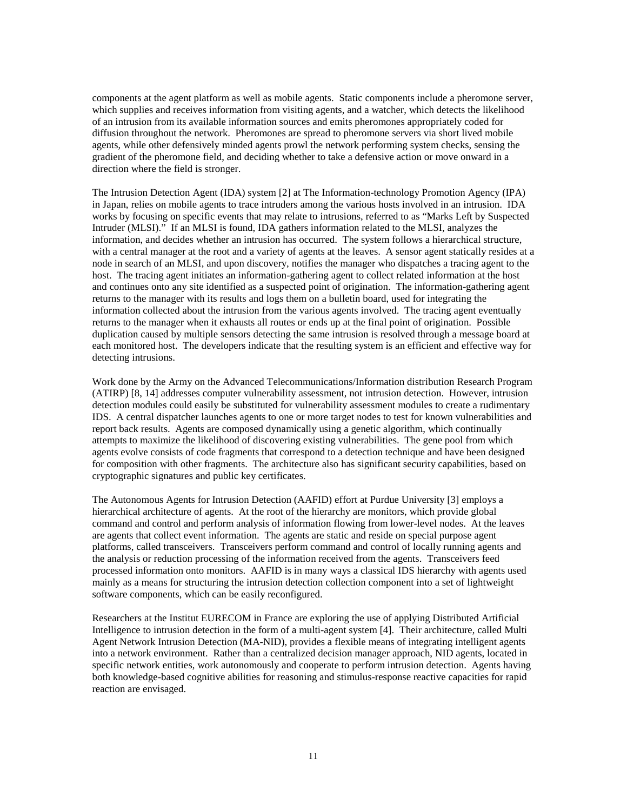components at the agent platform as well as mobile agents. Static components include a pheromone server, which supplies and receives information from visiting agents, and a watcher, which detects the likelihood of an intrusion from its available information sources and emits pheromones appropriately coded for diffusion throughout the network. Pheromones are spread to pheromone servers via short lived mobile agents, while other defensively minded agents prowl the network performing system checks, sensing the gradient of the pheromone field, and deciding whether to take a defensive action or move onward in a direction where the field is stronger.

The Intrusion Detection Agent (IDA) system [2] at The Information-technology Promotion Agency (IPA) in Japan, relies on mobile agents to trace intruders among the various hosts involved in an intrusion. IDA works by focusing on specific events that may relate to intrusions, referred to as "Marks Left by Suspected Intruder (MLSI)." If an MLSI is found, IDA gathers information related to the MLSI, analyzes the information, and decides whether an intrusion has occurred. The system follows a hierarchical structure, with a central manager at the root and a variety of agents at the leaves. A sensor agent statically resides at a node in search of an MLSI, and upon discovery, notifies the manager who dispatches a tracing agent to the host. The tracing agent initiates an information-gathering agent to collect related information at the host and continues onto any site identified as a suspected point of origination. The information-gathering agent returns to the manager with its results and logs them on a bulletin board, used for integrating the information collected about the intrusion from the various agents involved. The tracing agent eventually returns to the manager when it exhausts all routes or ends up at the final point of origination. Possible duplication caused by multiple sensors detecting the same intrusion is resolved through a message board at each monitored host. The developers indicate that the resulting system is an efficient and effective way for detecting intrusions.

Work done by the Army on the Advanced Telecommunications/Information distribution Research Program (ATIRP) [8, 14] addresses computer vulnerability assessment, not intrusion detection. However, intrusion detection modules could easily be substituted for vulnerability assessment modules to create a rudimentary IDS. A central dispatcher launches agents to one or more target nodes to test for known vulnerabilities and report back results. Agents are composed dynamically using a genetic algorithm, which continually attempts to maximize the likelihood of discovering existing vulnerabilities. The gene pool from which agents evolve consists of code fragments that correspond to a detection technique and have been designed for composition with other fragments. The architecture also has significant security capabilities, based on cryptographic signatures and public key certificates.

The Autonomous Agents for Intrusion Detection (AAFID) effort at Purdue University [3] employs a hierarchical architecture of agents. At the root of the hierarchy are monitors, which provide global command and control and perform analysis of information flowing from lower-level nodes. At the leaves are agents that collect event information. The agents are static and reside on special purpose agent platforms, called transceivers. Transceivers perform command and control of locally running agents and the analysis or reduction processing of the information received from the agents. Transceivers feed processed information onto monitors. AAFID is in many ways a classical IDS hierarchy with agents used mainly as a means for structuring the intrusion detection collection component into a set of lightweight software components, which can be easily reconfigured.

Researchers at the Institut EURECOM in France are exploring the use of applying Distributed Artificial Intelligence to intrusion detection in the form of a multi-agent system [4]. Their architecture, called Multi Agent Network Intrusion Detection (MA-NID), provides a flexible means of integrating intelligent agents into a network environment. Rather than a centralized decision manager approach, NID agents, located in specific network entities, work autonomously and cooperate to perform intrusion detection. Agents having both knowledge-based cognitive abilities for reasoning and stimulus-response reactive capacities for rapid reaction are envisaged.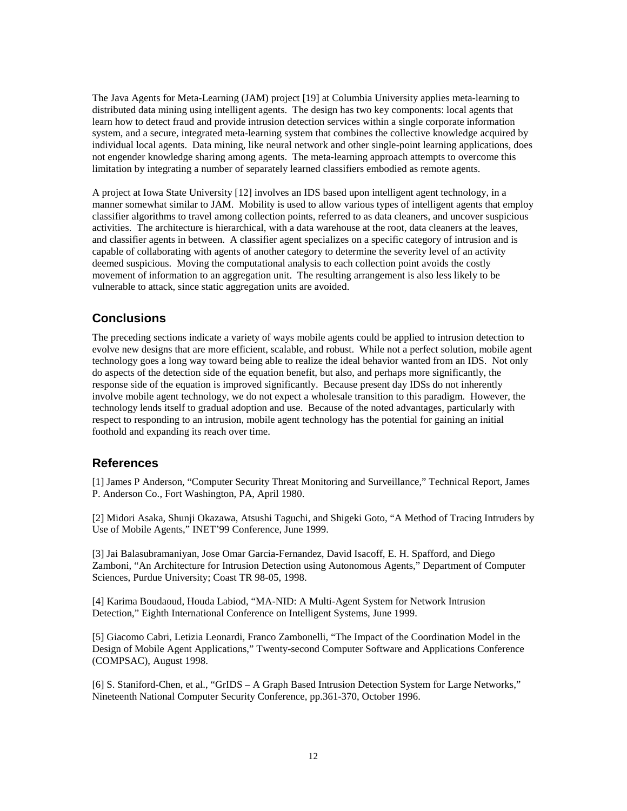The Java Agents for Meta-Learning (JAM) project [19] at Columbia University applies meta-learning to distributed data mining using intelligent agents. The design has two key components: local agents that learn how to detect fraud and provide intrusion detection services within a single corporate information system, and a secure, integrated meta-learning system that combines the collective knowledge acquired by individual local agents. Data mining, like neural network and other single-point learning applications, does not engender knowledge sharing among agents. The meta-learning approach attempts to overcome this limitation by integrating a number of separately learned classifiers embodied as remote agents.

A project at Iowa State University [12] involves an IDS based upon intelligent agent technology, in a manner somewhat similar to JAM. Mobility is used to allow various types of intelligent agents that employ classifier algorithms to travel among collection points, referred to as data cleaners, and uncover suspicious activities. The architecture is hierarchical, with a data warehouse at the root, data cleaners at the leaves, and classifier agents in between. A classifier agent specializes on a specific category of intrusion and is capable of collaborating with agents of another category to determine the severity level of an activity deemed suspicious. Moving the computational analysis to each collection point avoids the costly movement of information to an aggregation unit. The resulting arrangement is also less likely to be vulnerable to attack, since static aggregation units are avoided.

### **Conclusions**

The preceding sections indicate a variety of ways mobile agents could be applied to intrusion detection to evolve new designs that are more efficient, scalable, and robust. While not a perfect solution, mobile agent technology goes a long way toward being able to realize the ideal behavior wanted from an IDS. Not only do aspects of the detection side of the equation benefit, but also, and perhaps more significantly, the response side of the equation is improved significantly. Because present day IDSs do not inherently involve mobile agent technology, we do not expect a wholesale transition to this paradigm. However, the technology lends itself to gradual adoption and use. Because of the noted advantages, particularly with respect to responding to an intrusion, mobile agent technology has the potential for gaining an initial foothold and expanding its reach over time.

### **References**

[1] James P Anderson, "Computer Security Threat Monitoring and Surveillance," Technical Report, James P. Anderson Co., Fort Washington, PA, April 1980.

[2] Midori Asaka, Shunji Okazawa, Atsushi Taguchi, and Shigeki Goto, "A Method of Tracing Intruders by Use of Mobile Agents," INET'99 Conference, June 1999.

[3] Jai Balasubramaniyan, Jose Omar Garcia-Fernandez, David Isacoff, E. H. Spafford, and Diego Zamboni, "An Architecture for Intrusion Detection using Autonomous Agents," Department of Computer Sciences, Purdue University; Coast TR 98-05, 1998.

[4] Karima Boudaoud, Houda Labiod, "MA-NID: A Multi-Agent System for Network Intrusion Detection," Eighth International Conference on Intelligent Systems, June 1999.

[5] Giacomo Cabri, Letizia Leonardi, Franco Zambonelli, "The Impact of the Coordination Model in the Design of Mobile Agent Applications," Twenty-second Computer Software and Applications Conference (COMPSAC), August 1998.

[6] S. Staniford-Chen, et al., "GrIDS – A Graph Based Intrusion Detection System for Large Networks," Nineteenth National Computer Security Conference, pp.361-370, October 1996.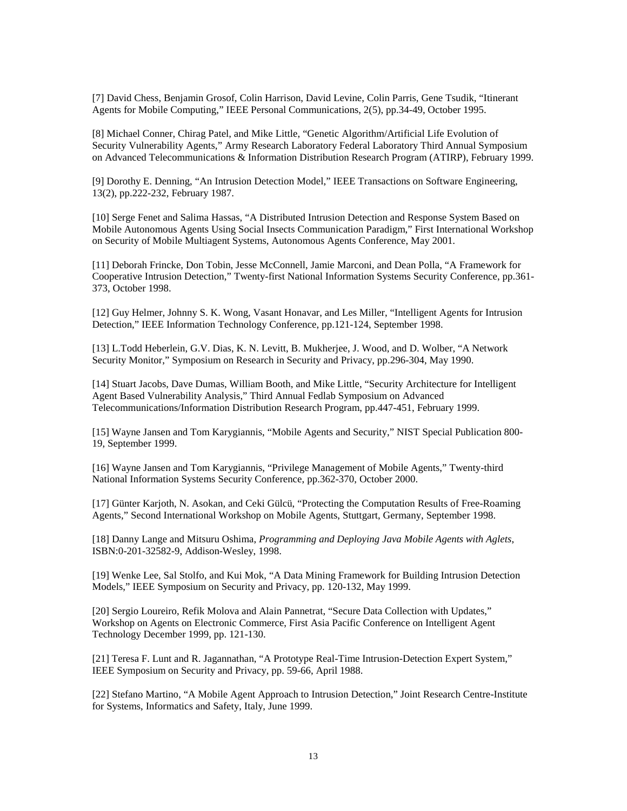[7] David Chess, Benjamin Grosof, Colin Harrison, David Levine, Colin Parris, Gene Tsudik, "Itinerant Agents for Mobile Computing," IEEE Personal Communications, 2(5), pp.34-49, October 1995.

[8] Michael Conner, Chirag Patel, and Mike Little, "Genetic Algorithm/Artificial Life Evolution of Security Vulnerability Agents," Army Research Laboratory Federal Laboratory Third Annual Symposium on Advanced Telecommunications & Information Distribution Research Program (ATIRP), February 1999.

[9] Dorothy E. Denning, "An Intrusion Detection Model," IEEE Transactions on Software Engineering, 13(2), pp.222-232, February 1987.

[10] Serge Fenet and Salima Hassas, "A Distributed Intrusion Detection and Response System Based on Mobile Autonomous Agents Using Social Insects Communication Paradigm," First International Workshop on Security of Mobile Multiagent Systems, Autonomous Agents Conference, May 2001.

[11] Deborah Frincke, Don Tobin, Jesse McConnell, Jamie Marconi, and Dean Polla, "A Framework for Cooperative Intrusion Detection," Twenty-first National Information Systems Security Conference, pp.361- 373, October 1998.

[12] Guy Helmer, Johnny S. K. Wong, Vasant Honavar, and Les Miller, "Intelligent Agents for Intrusion Detection," IEEE Information Technology Conference, pp.121-124, September 1998.

[13] L.Todd Heberlein, G.V. Dias, K. N. Levitt, B. Mukherjee, J. Wood, and D. Wolber, "A Network Security Monitor," Symposium on Research in Security and Privacy, pp.296-304, May 1990.

[14] Stuart Jacobs, Dave Dumas, William Booth, and Mike Little, "Security Architecture for Intelligent Agent Based Vulnerability Analysis," Third Annual Fedlab Symposium on Advanced Telecommunications/Information Distribution Research Program, pp.447-451, February 1999.

[15] Wayne Jansen and Tom Karygiannis, "Mobile Agents and Security," NIST Special Publication 800- 19, September 1999.

[16] Wayne Jansen and Tom Karygiannis, "Privilege Management of Mobile Agents," Twenty-third National Information Systems Security Conference, pp.362-370, October 2000.

[17] Günter Karjoth, N. Asokan, and Ceki Gülcü, "Protecting the Computation Results of Free-Roaming Agents," Second International Workshop on Mobile Agents, Stuttgart, Germany, September 1998.

[18] Danny Lange and Mitsuru Oshima, *Programming and Deploying Java Mobile Agents with Aglets*, ISBN:0-201-32582-9, Addison-Wesley, 1998.

[19] Wenke Lee, Sal Stolfo, and Kui Mok, "A Data Mining Framework for Building Intrusion Detection Models," IEEE Symposium on Security and Privacy, pp. 120-132, May 1999.

[20] Sergio Loureiro, Refik Molova and Alain Pannetrat, "Secure Data Collection with Updates," Workshop on Agents on Electronic Commerce, First Asia Pacific Conference on Intelligent Agent Technology December 1999, pp. 121-130.

[21] Teresa F. Lunt and R. Jagannathan, "A Prototype Real-Time Intrusion-Detection Expert System," IEEE Symposium on Security and Privacy, pp. 59-66, April 1988.

[22] Stefano Martino, "A Mobile Agent Approach to Intrusion Detection," Joint Research Centre-Institute for Systems, Informatics and Safety, Italy, June 1999.